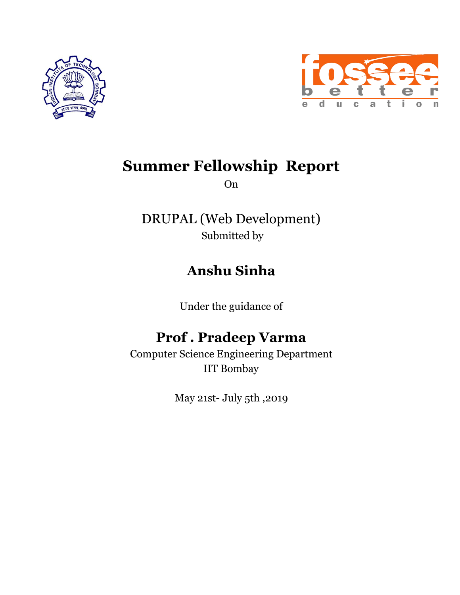



## **Summer Fellowship Report**

On

DRUPAL (Web Development) Submitted by

## **Anshu Sinha**

Under the guidance of

## **Prof . Pradeep Varma**

Computer Science Engineering Department IIT Bombay

May 21st- July 5th ,2019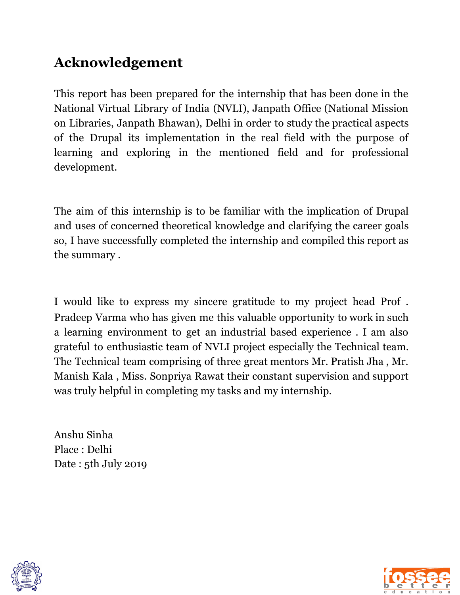## **Acknowledgement**

This report has been prepared for the internship that has been done in the National Virtual Library of India (NVLI), Janpath Office (National Mission on Libraries, Janpath Bhawan), Delhi in order to study the practical aspects of the Drupal its implementation in the real field with the purpose of learning and exploring in the mentioned field and for professional development.

The aim of this internship is to be familiar with the implication of Drupal and uses of concerned theoretical knowledge and clarifying the career goals so, I have successfully completed the internship and compiled this report as the summary .

I would like to express my sincere gratitude to my project head Prof . Pradeep Varma who has given me this valuable opportunity to work in such a learning environment to get an industrial based experience . I am also grateful to enthusiastic team of NVLI project especially the Technical team. The Technical team comprising of three great mentors Mr. Pratish Jha , Mr. Manish Kala , Miss. Sonpriya Rawat their constant supervision and support was truly helpful in completing my tasks and my internship.

Anshu Sinha Place : Delhi Date : 5th July 2019



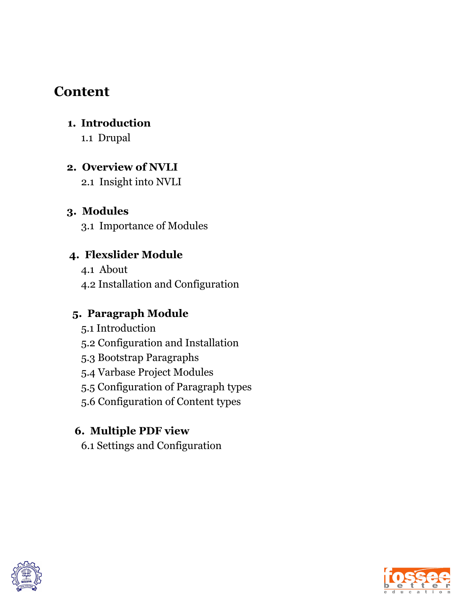### **Content**

#### **1. Introduction**

1.1 Drupal

#### **2. Overview of NVLI**

2.1 Insight into NVLI

#### **3. Modules**

3.1 Importance of Modules

#### **4. Flexslider Module**

4.1 About 4.2 Installation and Configuration

#### **5. Paragraph Module**

- 5.1 Introduction
- 5.2 Configuration and Installation
- 5.3 Bootstrap Paragraphs
- 5.4 Varbase Project Modules
- 5.5 Configuration of Paragraph types
- 5.6 Configuration of Content types

#### **6. Multiple PDF view**

6.1 Settings and Configuration



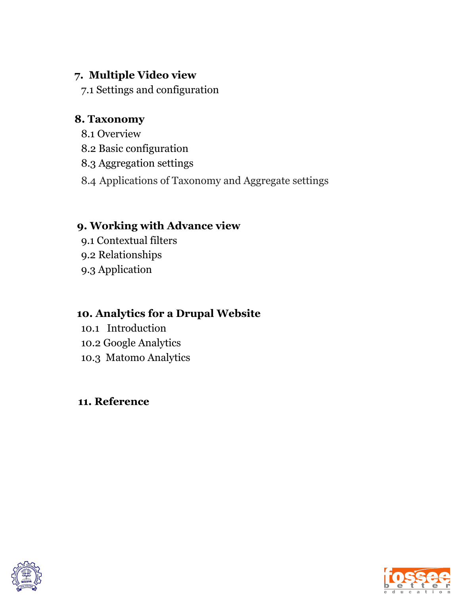#### **7. Multiple Video view**

7.1 Settings and configuration

#### **8. Taxonomy**

- 8.1 Overview
- 8.2 Basic configuration
- 8.3 Aggregation settings
- 8.4 Applications of Taxonomy and Aggregate settings

#### **9. Working with Advance view**

- 9.1 Contextual filters
- 9.2 Relationships
- 9.3 Application

#### **10. Analytics for a Drupal Website**

- 10.1 Introduction
- 10.2 Google Analytics
- 10.3 Matomo Analytics

#### **11. Reference**



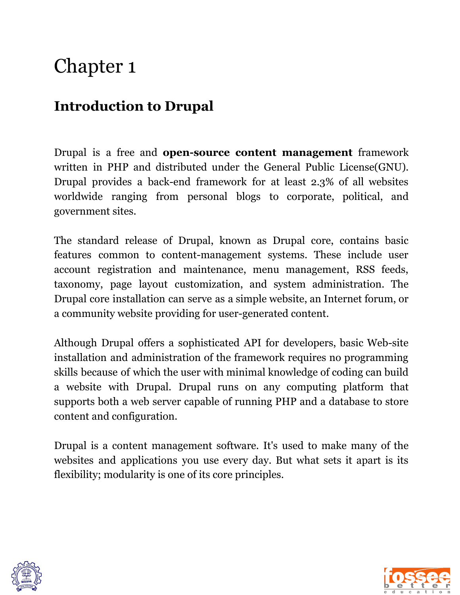### **Introduction to Drupal**

Drupal is a free and **open-source content management** framework written in PHP and distributed under the General Public License(GNU). Drupal provides a back-end framework for at least 2.3% of all websites worldwide ranging from personal blogs to corporate, political, and government sites.

The standard release of Drupal, known as Drupal core, contains basic features common to content-management systems. These include user account registration and maintenance, menu management, RSS feeds, taxonomy, page layout customization, and system administration. The Drupal core installation can serve as a simple website, an Internet forum, or a community website providing for user-generated content.

Although Drupal offers a sophisticated API for developers, basic Web-site installation and administration of the framework requires no programming skills because of which the user with minimal knowledge of coding can build a website with Drupal. Drupal runs on any computing platform that supports both a web server capable of running PHP and a database to store content and configuration.

Drupal is a content management software. It's used to make many of the websites and applications you use every day. But what sets it apart is its flexibility; modularity is one of its core principles.



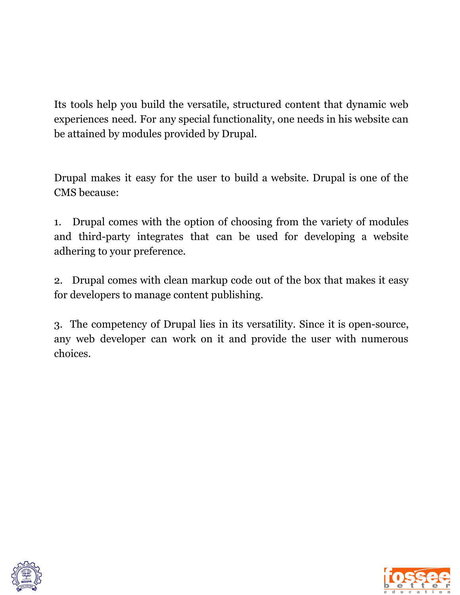Its tools help you build the versatile, structured content that dynamic web experiences need. For any special functionality, one needs in his website can be attained by modules provided by Drupal.

Drupal makes it easy for the user to build a website. Drupal is one of the CMS because:

1. Drupal comes with the option of choosing from the variety of modules and third-party integrates that can be used for developing a website adhering to your preference.

2. Drupal comes with clean markup code out of the box that makes it easy for developers to manage content publishing.

3. The competency of Drupal lies in its versatility. Since it is open-source, any web developer can work on it and provide the user with numerous choices.



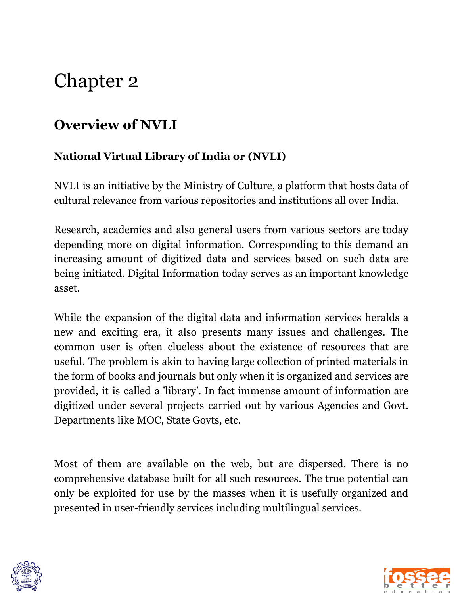### **Overview of NVLI**

#### **National Virtual Library of India or (NVLI)**

NVLI is an initiative by the Ministry of Culture, a platform that hosts data of cultural relevance from various repositories and institutions all over India.

Research, academics and also general users from various sectors are today depending more on digital information. Corresponding to this demand an increasing amount of digitized data and services based on such data are being initiated. Digital Information today serves as an important knowledge asset.

While the expansion of the digital data and information services heralds a new and exciting era, it also presents many issues and challenges. The common user is often clueless about the existence of resources that are useful. The problem is akin to having large collection of printed materials in the form of books and journals but only when it is organized and services are provided, it is called a 'library'. In fact immense amount of information are digitized under several projects carried out by various Agencies and Govt. Departments like MOC, State Govts, etc.

Most of them are available on the web, but are dispersed. There is no comprehensive database built for all such resources. The true potential can only be exploited for use by the masses when it is usefully organized and presented in user-friendly services including multilingual services.



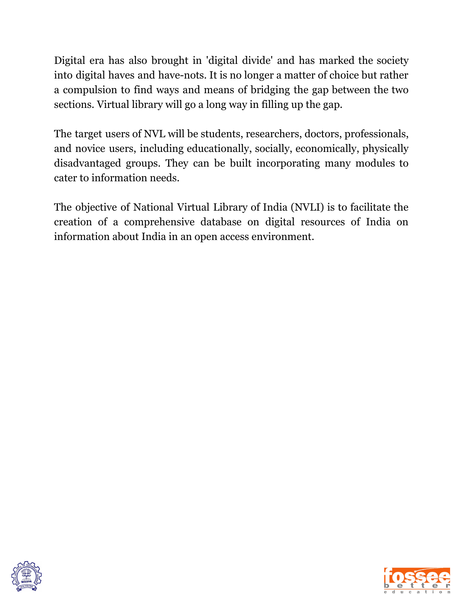Digital era has also brought in 'digital divide' and has marked the society into digital haves and have-nots. It is no longer a matter of choice but rather a compulsion to find ways and means of bridging the gap between the two sections. Virtual library will go a long way in filling up the gap.

The target users of NVL will be students, researchers, doctors, professionals, and novice users, including educationally, socially, economically, physically disadvantaged groups. They can be built incorporating many modules to cater to information needs.

The objective of National Virtual Library of India (NVLI) is to facilitate the creation of a comprehensive database on digital resources of India on information about India in an open access environment.



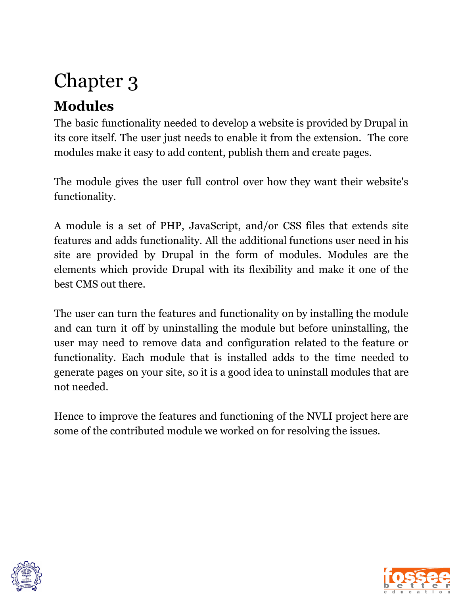## **Modules**

The basic functionality needed to develop a website is provided by Drupal in its core itself. The user just needs to enable it from the extension. The core modules make it easy to add content, publish them and create pages.

The module gives the user full control over how they want their website's functionality.

A module is a set of PHP, JavaScript, and/or CSS files that extends site features and adds functionality. All the additional functions user need in his site are provided by Drupal in the form of modules. Modules are the elements which provide Drupal with its flexibility and make it one of the best CMS out there.

The user can turn the features and functionality on by installing the module and can turn it off by uninstalling the module but before uninstalling, the user may need to remove data and configuration related to the feature or functionality. Each module that is installed adds to the time needed to generate pages on your site, so it is a good idea to uninstall modules that are not needed.

Hence to improve the features and functioning of the NVLI project here are some of the contributed module we worked on for resolving the issues.



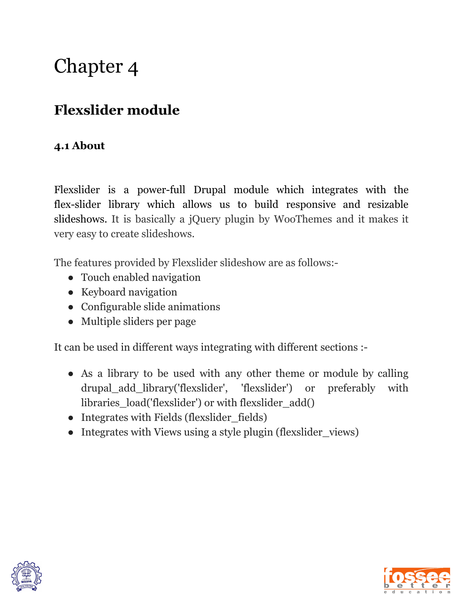## **Flexslider module**

#### **4.1 About**

Flexslider is a power-full Drupal module which integrates with the flex-slider library which allows us to build responsive and resizable slideshows. It is basically a jQuery plugin by WooThemes and it makes it very easy to create slideshows.

The features provided by Flexslider slideshow are as follows:-

- Touch enabled navigation
- Keyboard navigation
- Configurable slide animations
- Multiple sliders per page

It can be used in different ways integrating with different sections :-

- As a library to be used with any other theme or module by calling drupal\_add\_library('flexslider', 'flexslider') or preferably with libraries\_load('flexslider') or with flexslider\_add()
- Integrates with Fields (flexslider fields)
- Integrates with Views using a style plugin (flexslider\_views)



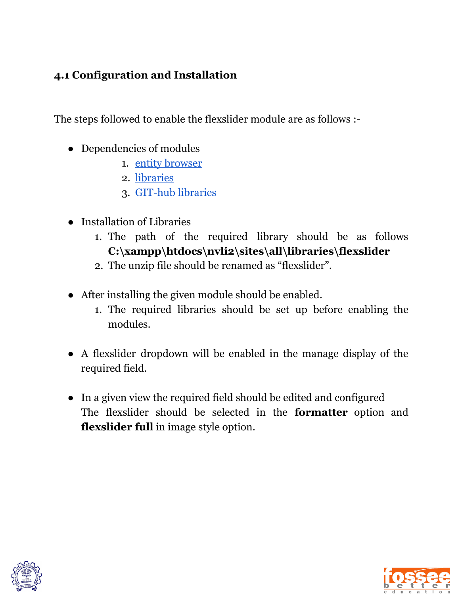#### **4.1 Configuration and Installation**

The steps followed to enable the flexslider module are as follows :-

- Dependencies of modules
	- 1. entity [browser](https://www.drupal.org/project/entity_browser)
	- 2. [libraries](https://www.drupal.org/project/libraries)
	- 3. [GIT-hub](https://github.com/woocommerce/FlexSlider) libraries
- Installation of Libraries
	- 1. The path of the required library should be as follows **C:\xampp\htdocs\nvli2\sites\all\libraries\flexslider**
	- 2. The unzip file should be renamed as "flexslider".
- After installing the given module should be enabled.
	- 1. The required libraries should be set up before enabling the modules.
- A flexslider dropdown will be enabled in the manage display of the required field.
- In a given view the required field should be edited and configured The flexslider should be selected in the **formatter** option and **flexslider full** in image style option.



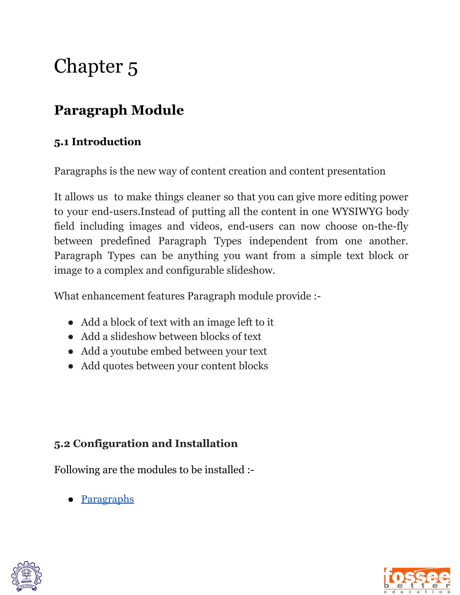## **Paragraph Module**

#### **5.1 Introduction**

Paragraphs is the new way of content creation and content presentation

It allows us to make things cleaner so that you can give more editing power to your end-users.Instead of putting all the content in one WYSIWYG body field including images and videos, end-users can now choose on-the-fly between predefined Paragraph Types independent from one another. Paragraph Types can be anything you want from a simple text block or image to a complex and configurable slideshow.

What enhancement features Paragraph module provide :-

- Add a block of text with an image left to it
- Add a slideshow between blocks of text
- Add a youtube embed between your text
- Add quotes between your content blocks

#### **5.2 Configuration and Installation**

Following are the modules to be installed :-

● [Paragraphs](https://www.drupal.org/project/paragraphs)



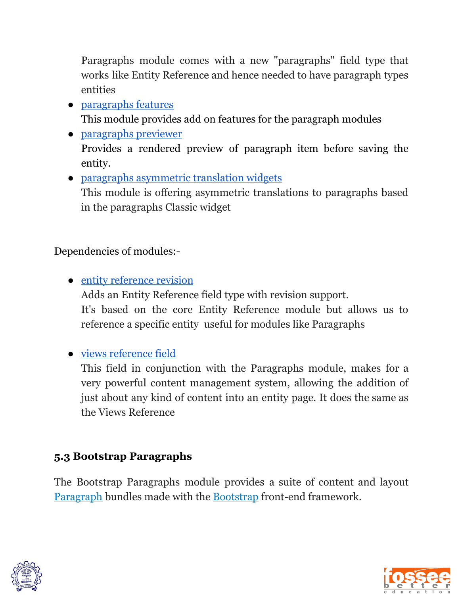Paragraphs module comes with a new "paragraphs" field type that works like Entity Reference and hence needed to have paragraph types entities

- [paragraphs](https://www.drupal.org/project/paragraphs_features) features This module provides add on features for the paragraph modules
- [paragraphs](https://www.drupal.org/project/paragraphs_previewer) previewer Provides a rendered preview of paragraph item before saving the entity.
- paragraphs [asymmetric](https://www.drupal.org/project/paragraphs_asymmetric_translation_widgets) translation widgets This module is offering asymmetric translations to paragraphs based in the paragraphs Classic widget

Dependencies of modules:-

- entity [reference](https://www.drupal.org/project/entity_reference_revisions) revision Adds an Entity Reference field type with revision support. It's based on the core Entity Reference module but allows us to reference a specific entity useful for modules like Paragraphs
- views [reference](https://www.drupal.org/project/viewsreference) field

This field in conjunction with the Paragraphs module, makes for a very powerful content management system, allowing the addition of just about any kind of content into an entity page. It does the same as the Views Reference

#### **5.3 Bootstrap Paragraphs**

The Bootstrap Paragraphs module provides a suite of content and layout [Paragraph](https://www.drupal.org/project/paragraphs) bundles made with the [Bootstrap](http://getbootstrap.com/) front-end framework.



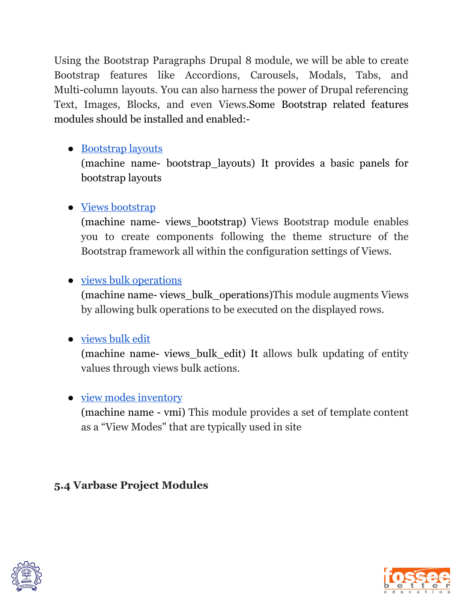Using the Bootstrap Paragraphs Drupal 8 module, we will be able to create Bootstrap features like Accordions, Carousels, Modals, Tabs, and Multi-column layouts. You can also harness the power of Drupal referencing Text, Images, Blocks, and even Views.Some Bootstrap related features modules should be installed and enabled:-

#### ● [Bootstrap](https://www.drupal.org/project/bootstrap_layouts) layouts

(machine name- bootstrap\_layouts) It provides a basic panels for bootstrap layouts

#### ● Views [bootstrap](https://www.drupal.org/project/views_bootstrap)

(machine name- views\_bootstrap) Views Bootstrap module enables you to create components following the theme structure of the Bootstrap framework all within the configuration settings of Views.

#### • <u>views bulk [operations](https://www.drupal.org/project/views_bulk_operations)</u>

(machine name- views\_bulk\_operations)This module augments Views by allowing bulk operations to be executed on the displayed rows.

#### ● [views](https://www.drupal.org/project/views_bulk_edit) bulk edit

(machine name- views\_bulk\_edit) It allows bulk updating of entity values through views bulk actions.

#### • view modes [inventory](https://www.drupal.org/project/vmi)

(machine name - vmi) This module provides a set of template content as a "View Modes" that are typically used in site

#### **5.4 Varbase Project Modules**



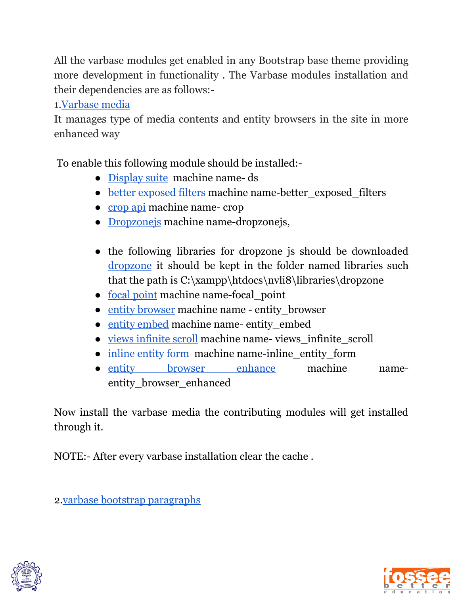All the varbase modules get enabled in any Bootstrap base theme providing more development in functionality . The Varbase modules installation and their dependencies are as follows:-

1.[Varbase](https://www.drupal.org/project/varbase_media) media

It manages type of media contents and entity browsers in the site in more enhanced way

To enable this following module should be installed:-

- [Display](https://www.drupal.org/project/ds) suite machine name- ds
- better [exposed](https://www.drupal.org/project/better_exposed_filters) filters machine name-better\_exposed\_filters
- [crop](https://www.drupal.org/project/crop) api machine name- crop
- [Dropzonejs](https://www.drupal.org/project/dropzonejs) machine name-dropzonejs,
- the following libraries for dropzone is should be downloaded [dropzone](https://github.com/enyo/dropzone) it should be kept in the folder named libraries such that the path is C:\xampp\htdocs\nvli8\libraries\dropzone
- focal [point](https://www.drupal.org/project/focal_point) machine name-focal\_point
- entity [browser](https://www.drupal.org/project/entity_browser) machine name entity\_browser
- entity [embed](https://www.drupal.org/project/entity_embed) machine name- entity embed
- views [infinite](https://www.drupal.org/project/views_infinite_scroll) scroll machine name- views\_infinite\_scroll
- inline [entity](https://www.drupal.org/project/inline_entity_form) form machine name-inline\_entity\_form
- entity browser [enhance](https://www.drupal.org/project/entity_browser_enhanced) machine nameentity\_browser\_enhanced

Now install the varbase media the contributing modules will get installed through it.

NOTE:- After every varbase installation clear the cache .

2.varbase bootstrap [paragraphs](https://www.drupal.org/project/varbase_bootstrap_paragraphs)



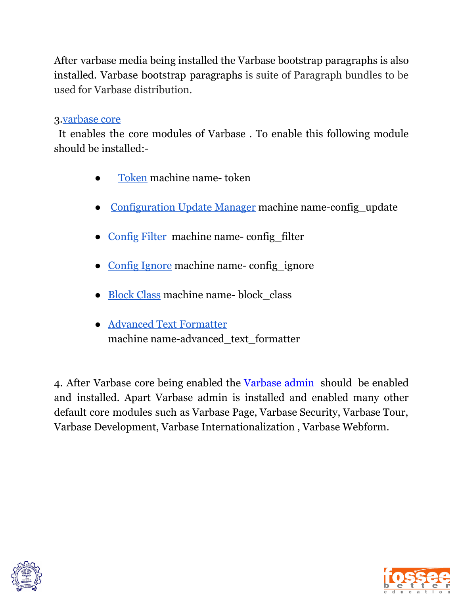After varbase media being installed the Varbase bootstrap paragraphs is also installed. Varbase bootstrap paragraphs is suite of Paragraph bundles to be used for Varbase distribution.

#### 3[.varbase](https://www.drupal.org/project/varbase_core) core

It enables the core modules of Varbase . To enable this following module should be installed:-

- [Token](https://www.drupal.org/project/token) machine name- token
- [Configuration](https://www.drupal.org/project/config_update) Update Manager machine name-config\_update
- [Config](https://www.drupal.org/project/config_filter) Filter machine name- config\_filter
- Config [Ignore](https://www.drupal.org/project/config_ignore) machine name-config\_ignore
- [Block](https://www.drupal.org/project/block_class) Class machine name- block\_class
- Advanced Text [Formatter](https://www.drupal.org/project/advanced_text_formatter) machine name-advanced text formatter

4. After Varbase core being enabled the Varbase admin should be enabled and installed. Apart Varbase admin is installed and enabled many other default core modules such as Varbase Page, Varbase Security, Varbase Tour, Varbase Development, Varbase Internationalization , Varbase Webform.



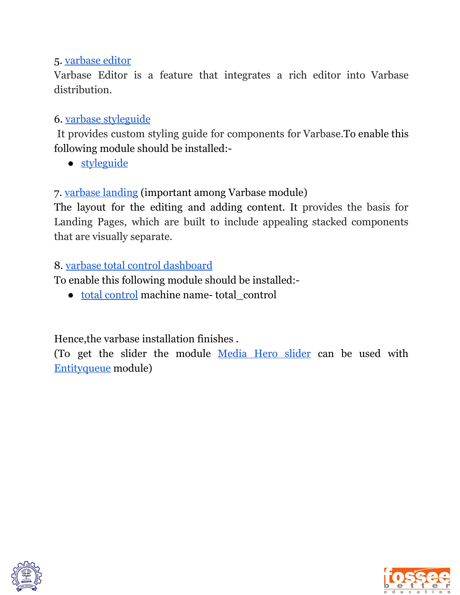#### 5. [varbase](https://www.drupal.org/project/varbase_editor) editor

Varbase Editor is a feature that integrates a rich editor into Varbase distribution.

#### 6. varbase [styleguide](https://www.drupal.org/project/varbase_styleguide)

It provides custom styling guide for components for Varbase.To enable this following module should be installed:-

● [styleguide](https://www.drupal.org/project/styleguide)

7. [varbase](https://www.drupal.org/project/varbase_landing) landing (important among Varbase module)

The layout for the editing and adding content. It provides the basis for Landing Pages, which are built to include appealing stacked components that are visually separate.

#### 8. varbase total control [dashboard](https://www.drupal.org/project/varbase_total_control)

To enable this following module should be installed:-

● total [control](https://www.drupal.org/project/total_control) machine name- total\_control

Hence,the varbase installation finishes .

(To get the slider the module [Media](https://www.drupal.org/project/varbase_heroslider_media) Hero slider can be used with [Entityqueue](https://www.drupal.org/project/entityqueue) module)



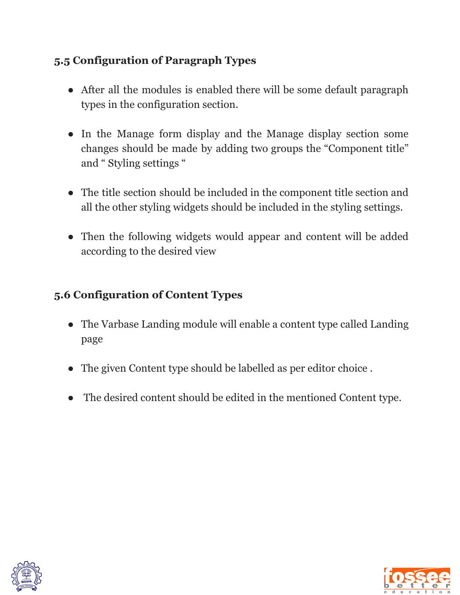#### **5.5 Configuration of Paragraph Types**

- After all the modules is enabled there will be some default paragraph types in the configuration section.
- In the Manage form display and the Manage display section some changes should be made by adding two groups the "Component title" and " Styling settings "
- The title section should be included in the component title section and all the other styling widgets should be included in the styling settings.
- Then the following widgets would appear and content will be added according to the desired view

#### **5.6 Configuration of Content Types**

- The Varbase Landing module will enable a content type called Landing page
- The given Content type should be labelled as per editor choice.
- The desired content should be edited in the mentioned Content type.



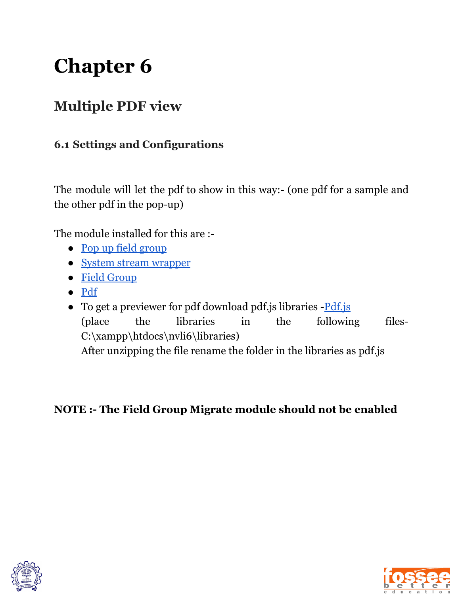## **Multiple PDF view**

#### **6.1 Settings and Configurations**

The module will let the pdf to show in this way:- (one pdf for a sample and the other pdf in the pop-up)

The module installed for this are :-

- Pop up field [group](https://www.drupal.org/project/popup_field_group)
- System stream [wrapper](https://www.drupal.org/project/system_stream_wrapper)
- Field [Group](https://www.drupal.org/project/field_group)
- [Pdf](https://www.drupal.org/project/pdf)
- To get a previewer for pdf download pdf.js libraries [Pdf.js](https://github.com/mozilla/pdf.js) (place the libraries in the following files-C:\xampp\htdocs\nvli6\libraries) After unzipping the file rename the folder in the libraries as pdf.js

**NOTE :- The Field Group Migrate module should not be enabled**



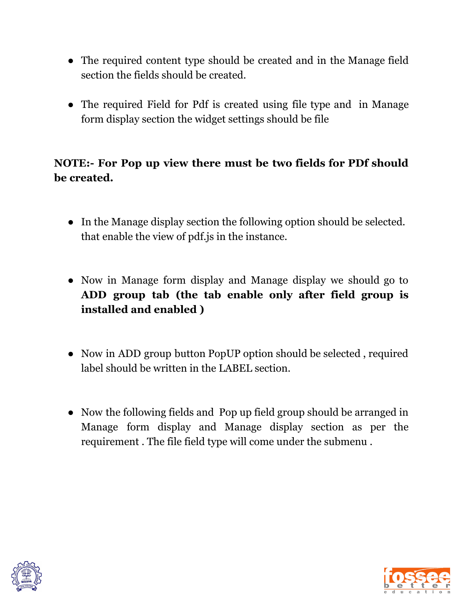- The required content type should be created and in the Manage field section the fields should be created.
- The required Field for Pdf is created using file type and in Manage form display section the widget settings should be file

#### **NOTE:- For Pop up view there must be two fields for PDf should be created.**

- In the Manage display section the following option should be selected. that enable the view of pdf.js in the instance.
- Now in Manage form display and Manage display we should go to **ADD group tab (the tab enable only after field group is installed and enabled )**
- **●** Now in ADD group button PopUP option should be selected , required label should be written in the LABEL section.
- Now the following fields and Pop up field group should be arranged in Manage form display and Manage display section as per the requirement . The file field type will come under the submenu .



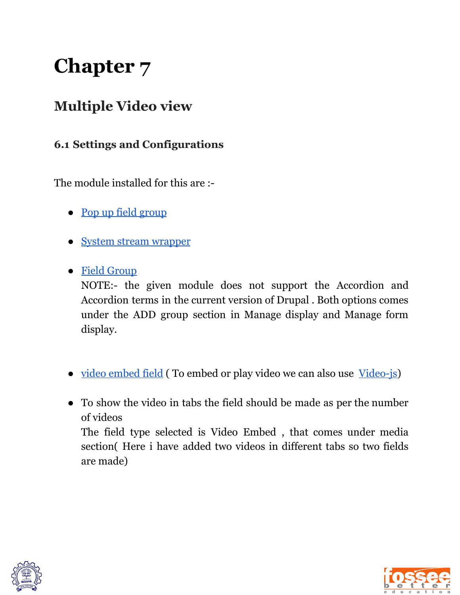### **Multiple Video view**

#### **6.1 Settings and Configurations**

The module installed for this are :-

- Pop up field [group](https://www.drupal.org/project/popup_field_group)
- System stream [wrapper](https://www.drupal.org/project/system_stream_wrapper)
- Field [Group](https://www.drupal.org/project/field_group)

NOTE:- the given module does not support the Accordion and Accordion terms in the current version of Drupal . Both options comes under the ADD group section in Manage display and Manage form display.

- <u>video [embed](https://www.drupal.org/project/video_embed_field) field</u> (To embed or play video we can also use <u>Video-js</u>)
- To show the video in tabs the field should be made as per the number of videos The field type selected is Video Embed , that comes under media section( Here i have added two videos in different tabs so two fields are made)



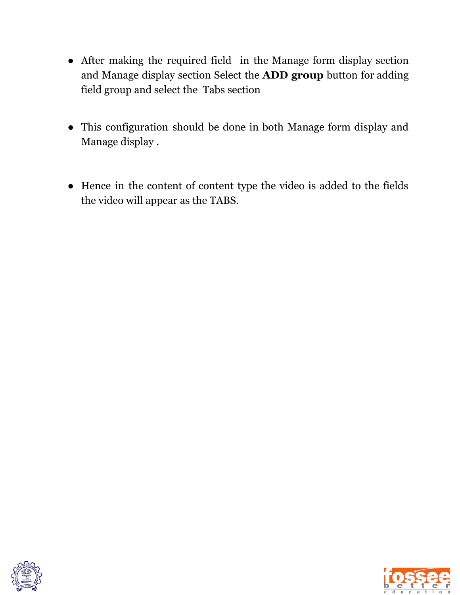- After making the required field in the Manage form display section and Manage display section Select the **ADD group** button for adding field group and select the Tabs section
- This configuration should be done in both Manage form display and Manage display .
- Hence in the content of content type the video is added to the fields the video will appear as the TABS.



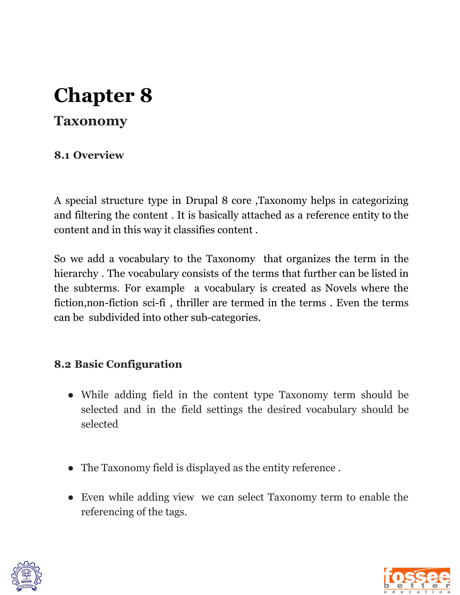### **Taxonomy**

#### **8.1 Overview**

A special structure type in Drupal 8 core ,Taxonomy helps in categorizing and filtering the content . It is basically attached as a reference entity to the content and in this way it classifies content .

So we add a vocabulary to the Taxonomy that organizes the term in the hierarchy . The vocabulary consists of the terms that further can be listed in the subterms. For example a vocabulary is created as Novels where the fiction,non-fiction sci-fi , thriller are termed in the terms . Even the terms can be subdivided into other sub-categories.

#### **8.2 Basic Configuration**

- While adding field in the content type Taxonomy term should be selected and in the field settings the desired vocabulary should be selected
- The Taxonomy field is displayed as the entity reference .
- Even while adding view we can select Taxonomy term to enable the referencing of the tags.



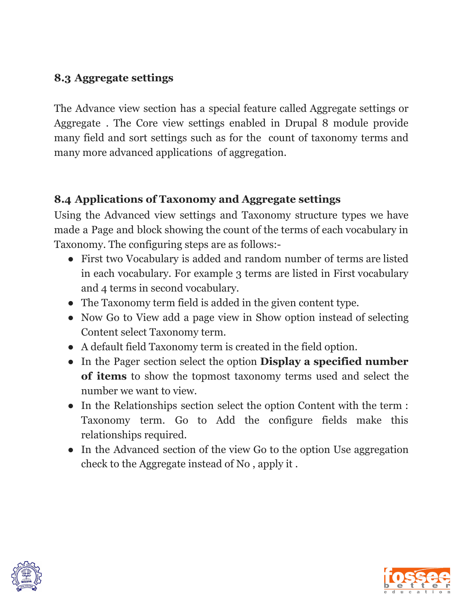#### **8.3 Aggregate settings**

The Advance view section has a special feature called Aggregate settings or Aggregate . The Core view settings enabled in Drupal 8 module provide many field and sort settings such as for the count of taxonomy terms and many more advanced applications of aggregation.

#### **8.4 Applications of Taxonomy and Aggregate settings**

Using the Advanced view settings and Taxonomy structure types we have made a Page and block showing the count of the terms of each vocabulary in Taxonomy. The configuring steps are as follows:-

- First two Vocabulary is added and random number of terms are listed in each vocabulary. For example 3 terms are listed in First vocabulary and 4 terms in second vocabulary.
- The Taxonomy term field is added in the given content type.
- Now Go to View add a page view in Show option instead of selecting Content select Taxonomy term.
- A default field Taxonomy term is created in the field option.
- In the Pager section select the option **Display a specified number of items** to show the topmost taxonomy terms used and select the number we want to view.
- In the Relationships section select the option Content with the term : Taxonomy term. Go to Add the configure fields make this relationships required.
- In the Advanced section of the view Go to the option Use aggregation check to the Aggregate instead of No , apply it .



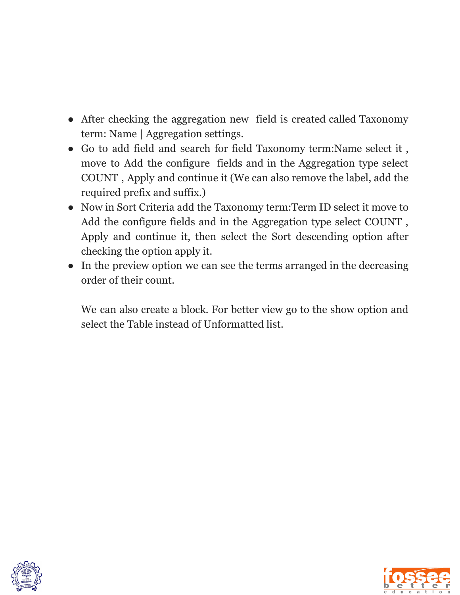- After checking the aggregation new field is created called Taxonomy term: Name | Aggregation settings.
- Go to add field and search for field Taxonomy term:Name select it , move to Add the configure fields and in the Aggregation type select COUNT , Apply and continue it (We can also remove the label, add the required prefix and suffix.)
- Now in Sort Criteria add the Taxonomy term:Term ID select it move to Add the configure fields and in the Aggregation type select COUNT , Apply and continue it, then select the Sort descending option after checking the option apply it.
- In the preview option we can see the terms arranged in the decreasing order of their count.

We can also create a block. For better view go to the show option and select the Table instead of Unformatted list.



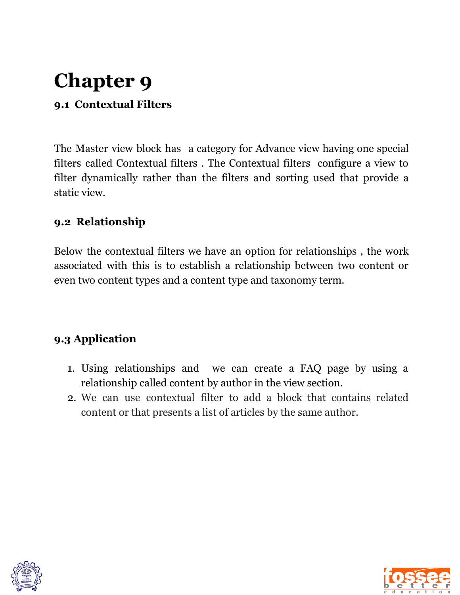#### **9.1 Contextual Filters**

The Master view block has a category for Advance view having one special filters called Contextual filters . The Contextual filters configure a view to filter dynamically rather than the filters and sorting used that provide a static view.

#### **9.2 Relationship**

Below the contextual filters we have an option for relationships , the work associated with this is to establish a relationship between two content or even two content types and a content type and taxonomy term.

#### **9.3 Application**

- 1. Using relationships and we can create a FAQ page by using a relationship called content by author in the view section.
- 2. We can use contextual filter to add a block that contains related content or that presents a list of articles by the same author.



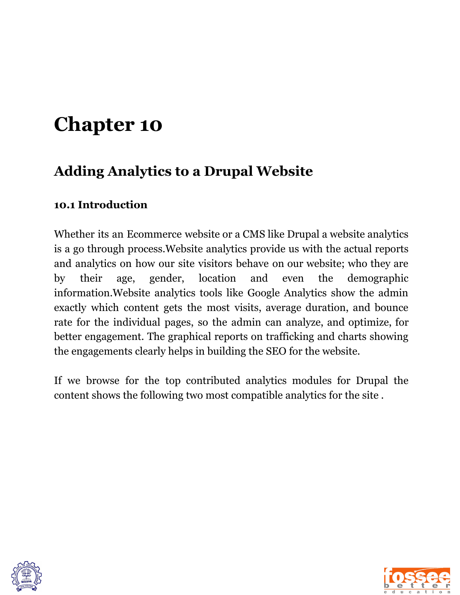### **Adding Analytics to a Drupal Website**

#### **10.1 Introduction**

Whether its an Ecommerce website or a CMS like Drupal a website analytics is a go through process.Website analytics provide us with the actual reports and analytics on how our site visitors behave on our website; who they are by their age, gender, location and even the demographic information.Website analytics tools like Google Analytics show the admin exactly which content gets the most visits, average duration, and bounce rate for the individual pages, so the admin can analyze, and optimize, for better engagement. The graphical reports on trafficking and charts showing the engagements clearly helps in building the SEO for the website.

If we browse for the top contributed analytics modules for Drupal the content shows the following two most compatible analytics for the site .



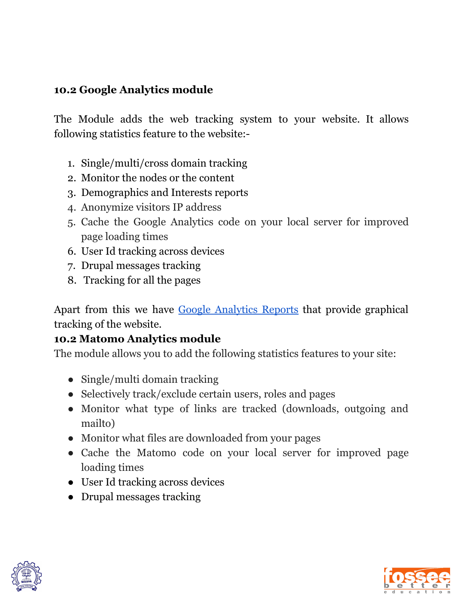#### **10.2 Google Analytics module**

The Module adds the web tracking system to your website. It allows following statistics feature to the website:-

- 1. Single/multi/cross domain tracking
- 2. Monitor the nodes or the content
- 3. Demographics and Interests reports
- 4. Anonymize visitors IP address
- 5. Cache the Google Analytics code on your local server for improved page loading times
- 6. User Id tracking across devices
- 7. Drupal messages tracking
- 8. Tracking for all the pages

Apart from this we have Google [Analytics](https://drupal.org/project/google_analytics_reports) Reports that provide graphical tracking of the website.

#### **10.2 Matomo Analytics module**

The module allows you to add the following statistics features to your site:

- Single/multi domain tracking
- Selectively track/exclude certain users, roles and pages
- Monitor what type of links are tracked (downloads, outgoing and mailto)
- Monitor what files are downloaded from your pages
- Cache the Matomo code on your local server for improved page loading times
- User Id tracking across devices
- Drupal messages tracking